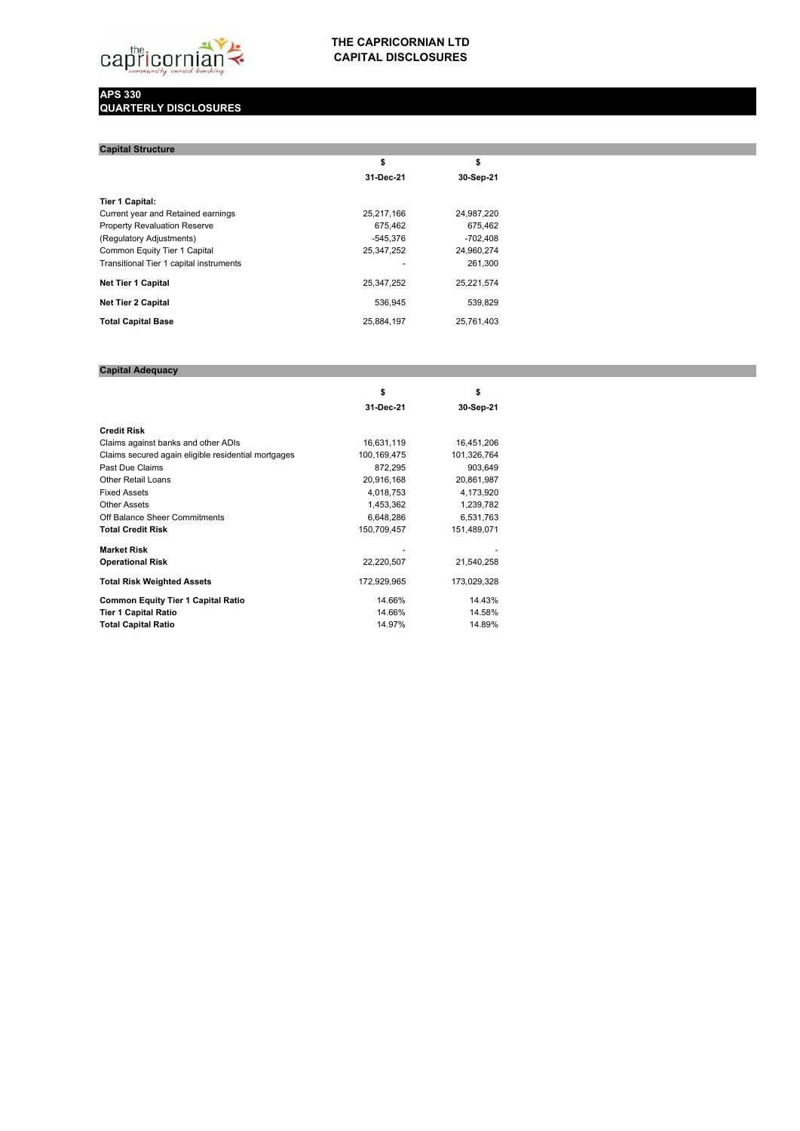

## **THE CAPRICORNIAN LTD CAPITAL DISCLOSURES**

## **APS 330 QUARTERLY DISCLOSURES**

| <b>Capital Structure</b>                |            |            |
|-----------------------------------------|------------|------------|
|                                         | \$         | \$         |
|                                         | 31-Dec-21  | 30-Sep-21  |
| <b>Tier 1 Capital:</b>                  |            |            |
| Current year and Retained earnings      | 25.217.166 | 24.987.220 |
| <b>Property Revaluation Reserve</b>     | 675.462    | 675.462    |
| (Regulatory Adjustments)                | $-545.376$ | $-702.408$ |
| Common Equity Tier 1 Capital            | 25,347,252 | 24.960.274 |
| Transitional Tier 1 capital instruments |            | 261.300    |
| <b>Net Tier 1 Capital</b>               | 25.347.252 | 25,221,574 |
| <b>Net Tier 2 Capital</b>               | 536.945    | 539.829    |
| <b>Total Capital Base</b>               | 25.884.197 | 25.761.403 |

## **Capital Adequacy**

|                                                     | \$          | \$          |  |
|-----------------------------------------------------|-------------|-------------|--|
|                                                     | 31-Dec-21   | 30-Sep-21   |  |
| <b>Credit Risk</b>                                  |             |             |  |
| Claims against banks and other ADIs                 | 16,631,119  | 16,451,206  |  |
| Claims secured again eligible residential mortgages | 100,169,475 | 101,326,764 |  |
| Past Due Claims                                     | 872,295     | 903,649     |  |
| <b>Other Retail Loans</b>                           | 20,916,168  | 20,861,987  |  |
| <b>Fixed Assets</b>                                 | 4,018,753   | 4,173,920   |  |
| <b>Other Assets</b>                                 | 1,453,362   | 1,239,782   |  |
| Off Balance Sheer Commitments                       | 6,648,286   | 6,531,763   |  |
| <b>Total Credit Risk</b>                            | 150,709,457 | 151,489,071 |  |
| <b>Market Risk</b>                                  |             |             |  |
| <b>Operational Risk</b>                             | 22,220,507  | 21,540,258  |  |
| <b>Total Risk Weighted Assets</b>                   | 172,929,965 | 173,029,328 |  |
| <b>Common Equity Tier 1 Capital Ratio</b>           | 14.66%      | 14.43%      |  |
| <b>Tier 1 Capital Ratio</b>                         | 14.66%      | 14.58%      |  |
| <b>Total Capital Ratio</b>                          | 14.97%      | 14.89%      |  |